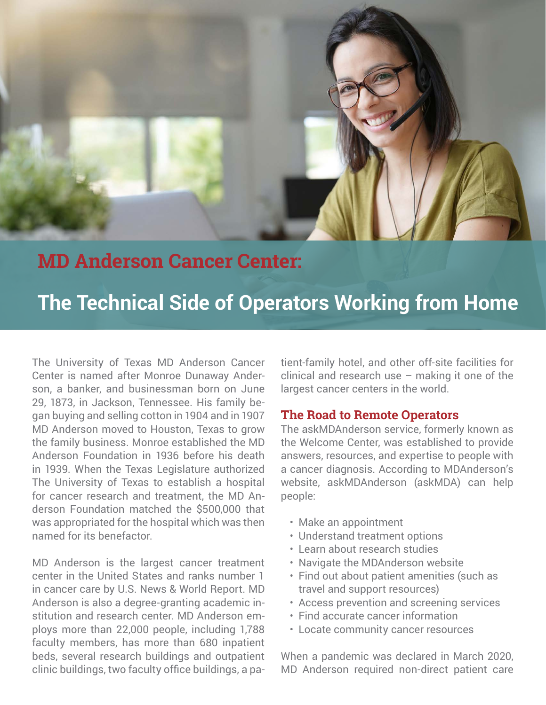

## **MD Anderson Cancer Center:**

# **The Technical Side of Operators Working from Home**

The University of Texas MD Anderson Cancer Center is named after Monroe Dunaway Anderson, a banker, and businessman born on June 29, 1873, in Jackson, Tennessee. His family began buying and selling cotton in 1904 and in 1907 MD Anderson moved to Houston, Texas to grow the family business. Monroe established the MD Anderson Foundation in 1936 before his death in 1939. When the Texas Legislature authorized The University of Texas to establish a hospital for cancer research and treatment, the MD Anderson Foundation matched the \$500,000 that was appropriated for the hospital which was then named for its benefactor.

MD Anderson is the largest cancer treatment center in the United States and ranks number 1 in cancer care by U.S. News & World Report. MD Anderson is also a degree-granting academic institution and research center. MD Anderson employs more than 22,000 people, including 1,788 faculty members, has more than 680 inpatient beds, several research buildings and outpatient clinic buildings, two faculty office buildings, a patient-family hotel, and other off-site facilities for clinical and research use  $-$  making it one of the largest cancer centers in the world.

#### **The Road to Remote Operators**

The askMDAnderson service, formerly known as the Welcome Center, was established to provide answers, resources, and expertise to people with a cancer diagnosis. According to MDAnderson's website, askMDAnderson (askMDA) can help people:

- Make an appointment
- Understand treatment options
- Learn about research studies
- Navigate the MDAnderson website
- Find out about patient amenities (such as travel and support resources)
- Access prevention and screening services
- Find accurate cancer information
- Locate community cancer resources

When a pandemic was declared in March 2020, MD Anderson required non-direct patient care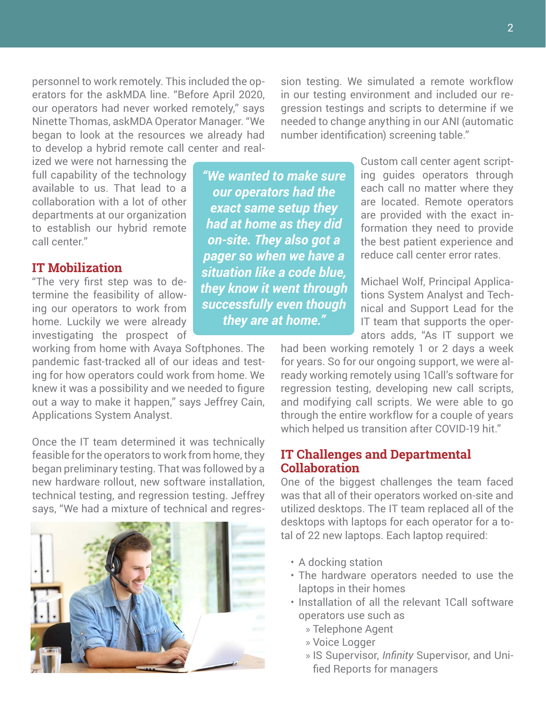personnel to work remotely. This included the operators for the askMDA line. "Before April 2020, our operators had never worked remotely," says Ninette Thomas, askMDA Operator Manager. "We began to look at the resources we already had to develop a hybrid remote call center and real-

sion testing. We simulated a remote workflow in our testing environment and included our regression testings and scripts to determine if we needed to change anything in our ANI (automatic number identification) screening table."

ized we were not harnessing the full capability of the technology available to us. That lead to a collaboration with a lot of other departments at our organization to establish our hybrid remote call center."

## **IT Mobilization**

"The very first step was to determine the feasibility of allowing our operators to work from home. Luckily we were already investigating the prospect of

working from home with Avaya Softphones. The pandemic fast-tracked all of our ideas and testing for how operators could work from home. We knew it was a possibility and we needed to figure out a way to make it happen," says Jeffrey Cain, Applications System Analyst.

Once the IT team determined it was technically feasible for the operators to work from home, they began preliminary testing. That was followed by a new hardware rollout, new software installation, technical testing, and regression testing. Jeffrey says, "We had a mixture of technical and regres-



*"We wanted to make sure our operators had the exact same setup they had at home as they did on-site. They also got a pager so when we have a situation like a code blue, they know it went through successfully even though they are at home."*

Custom call center agent scripting guides operators through each call no matter where they are located. Remote operators are provided with the exact information they need to provide the best patient experience and reduce call center error rates.

Michael Wolf, Principal Applications System Analyst and Technical and Support Lead for the IT team that supports the operators adds, "As IT support we

had been working remotely 1 or 2 days a week for years. So for our ongoing support, we were already working remotely using 1Call's software for regression testing, developing new call scripts, and modifying call scripts. We were able to go through the entire workflow for a couple of years which helped us transition after COVID-19 hit."

#### **IT Challenges and Departmental Collaboration**

One of the biggest challenges the team faced was that all of their operators worked on-site and utilized desktops. The IT team replaced all of the desktops with laptops for each operator for a total of 22 new laptops. Each laptop required:

- A docking station
- The hardware operators needed to use the laptops in their homes
- Installation of all the relevant 1Call software operators use such as
	- » Telephone Agent
	- » Voice Logger
	- » IS Supervisor, *Infinity* Supervisor, and Unified Reports for managers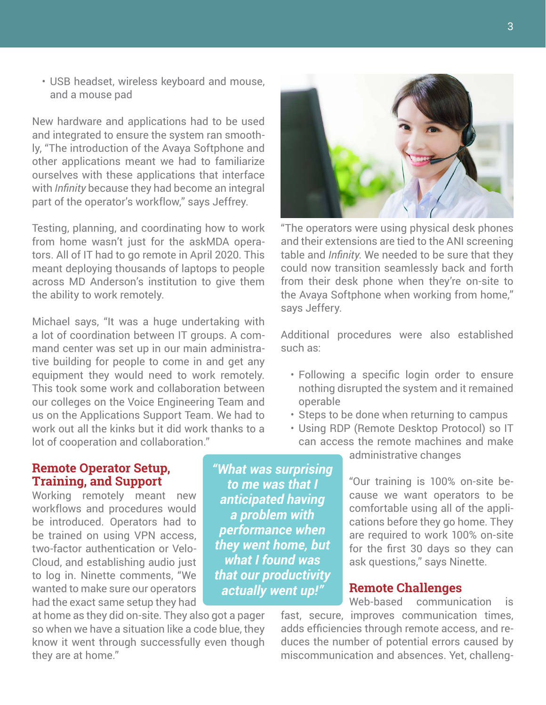• USB headset, wireless keyboard and mouse, and a mouse pad

New hardware and applications had to be used and integrated to ensure the system ran smoothly, "The introduction of the Avaya Softphone and other applications meant we had to familiarize ourselves with these applications that interface with *Infinity* because they had become an integral part of the operator's workflow," says Jeffrey.

Testing, planning, and coordinating how to work from home wasn't just for the askMDA operators. All of IT had to go remote in April 2020. This meant deploying thousands of laptops to people across MD Anderson's institution to give them the ability to work remotely.

Michael says, "It was a huge undertaking with a lot of coordination between IT groups. A command center was set up in our main administrative building for people to come in and get any equipment they would need to work remotely. This took some work and collaboration between our colleges on the Voice Engineering Team and us on the Applications Support Team. We had to work out all the kinks but it did work thanks to a lot of cooperation and collaboration."



"The operators were using physical desk phones and their extensions are tied to the ANI screening table and *Infinity*. We needed to be sure that they could now transition seamlessly back and forth from their desk phone when they're on-site to the Avaya Softphone when working from home," says Jeffery.

Additional procedures were also established such as:

- Following a specific login order to ensure nothing disrupted the system and it remained operable
- Steps to be done when returning to campus
- Using RDP (Remote Desktop Protocol) so IT can access the remote machines and make

### **Remote Operator Setup, Training, and Support**

Working remotely meant new workflows and procedures would be introduced. Operators had to be trained on using VPN access, two-factor authentication or Velo-Cloud, and establishing audio just to log in. Ninette comments, "We wanted to make sure our operators had the exact same setup they had

at home as they did on-site. They also got a pager so when we have a situation like a code blue, they know it went through successfully even though they are at home."

*"What was surprising to me was that I anticipated having a problem with performance when they went home, but what I found was that our productivity actually went up!"*

administrative changes

"Our training is 100% on-site because we want operators to be comfortable using all of the applications before they go home. They are required to work 100% on-site for the first 30 days so they can ask questions," says Ninette.

#### **Remote Challenges**

Web-based communication is fast, secure, improves communication times, adds efficiencies through remote access, and reduces the number of potential errors caused by miscommunication and absences. Yet, challeng-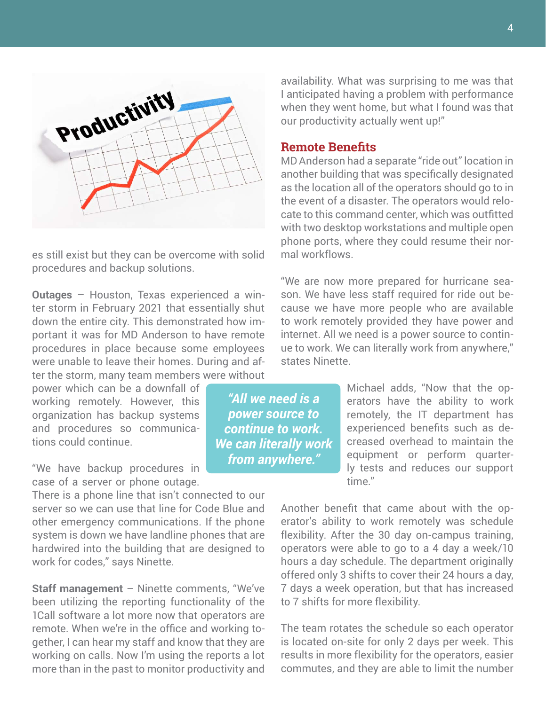

es still exist but they can be overcome with solid procedures and backup solutions.

**Outages** – Houston, Texas experienced a winter storm in February 2021 that essentially shut down the entire city. This demonstrated how important it was for MD Anderson to have remote procedures in place because some employees were unable to leave their homes. During and after the storm, many team members were without

power which can be a downfall of working remotely. However, this organization has backup systems and procedures so communications could continue.

"We have backup procedures in case of a server or phone outage.

There is a phone line that isn't connected to our server so we can use that line for Code Blue and other emergency communications. If the phone system is down we have landline phones that are hardwired into the building that are designed to work for codes," says Ninette.

**Staff management** – Ninette comments, "We've been utilizing the reporting functionality of the 1Call software a lot more now that operators are remote. When we're in the office and working together, I can hear my staff and know that they are working on calls. Now I'm using the reports a lot more than in the past to monitor productivity and availability. What was surprising to me was that I anticipated having a problem with performance when they went home, but what I found was that our productivity actually went up!"

#### **Remote Benefits**

MD Anderson had a separate "ride out" location in another building that was specifically designated as the location all of the operators should go to in the event of a disaster. The operators would relocate to this command center, which was outfitted with two desktop workstations and multiple open phone ports, where they could resume their normal workflows.

"We are now more prepared for hurricane season. We have less staff required for ride out because we have more people who are available to work remotely provided they have power and internet. All we need is a power source to continue to work. We can literally work from anywhere," states Ninette.

> Michael adds, "Now that the operators have the ability to work remotely, the IT department has experienced benefits such as decreased overhead to maintain the equipment or perform quarterly tests and reduces our support time."

Another benefit that came about with the operator's ability to work remotely was schedule flexibility. After the 30 day on-campus training, operators were able to go to a 4 day a week/10 hours a day schedule. The department originally offered only 3 shifts to cover their 24 hours a day, 7 days a week operation, but that has increased to 7 shifts for more flexibility.

The team rotates the schedule so each operator is located on-site for only 2 days per week. This results in more flexibility for the operators, easier commutes, and they are able to limit the number

*"All we need is a power source to continue to work. We can literally work from anywhere."*